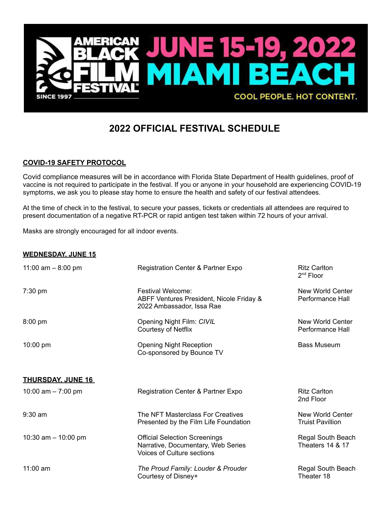

## **2022 OFFICIAL FESTIVAL SCHEDULE**

## **COVID-19 SAFETY PROTOCOL**

Covid compliance measures will be in accordance with Florida State Department of Health guidelines, proof of vaccine is not required to participate in the festival. If you or anyone in your household are experiencing COVID-19 symptoms, we ask you to please stay home to ensure the health and safety of our festival attendees.

At the time of check in to the festival, to secure your passes, tickets or credentials all attendees are required to present documentation of a negative RT-PCR or rapid antigen test taken within 72 hours of your arrival.

Masks are strongly encouraged for all indoor events.

## **WEDNESDAY, JUNE 15**

| 11:00 am $-8:00$ pm      | Registration Center & Partner Expo                                                                              | <b>Ritz Carlton</b><br>$2nd$ Floor               |
|--------------------------|-----------------------------------------------------------------------------------------------------------------|--------------------------------------------------|
| $7:30$ pm                | Festival Welcome:<br>ABFF Ventures President, Nicole Friday &<br>2022 Ambassador, Issa Rae                      | New World Center<br>Performance Hall             |
| $8:00$ pm                | Opening Night Film: CIVIL<br>Courtesy of Netflix                                                                | New World Center<br>Performance Hall             |
| $10:00 \text{ pm}$       | <b>Opening Night Reception</b><br>Co-sponsored by Bounce TV                                                     | <b>Bass Museum</b>                               |
| <b>THURSDAY, JUNE 16</b> |                                                                                                                 |                                                  |
| 10:00 am $- 7:00$ pm     | Registration Center & Partner Expo                                                                              | <b>Ritz Carlton</b><br>2nd Floor                 |
| $9:30$ am                | The NFT Masterclass For Creatives<br>Presented by the Film Life Foundation                                      | New World Center<br><b>Truist Pavillion</b>      |
| 10:30 am $-$ 10:00 pm    | <b>Official Selection Screenings</b><br>Narrative, Documentary, Web Series<br><b>Voices of Culture sections</b> | Regal South Beach<br><b>Theaters 14 &amp; 17</b> |
| $11:00$ am               | The Proud Family: Louder & Prouder<br>Courtesy of Disney+                                                       | Regal South Beach<br>Theater 18                  |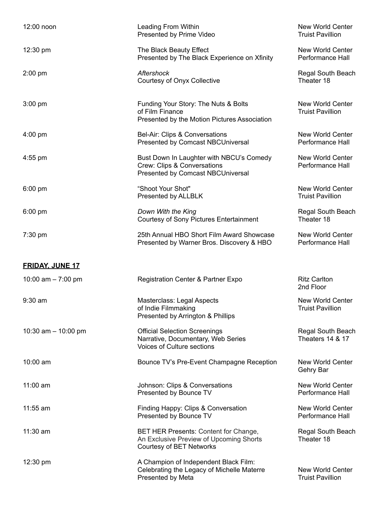| 12:00 noon             | Leading From Within<br>Presented by Prime Video                                                                     | New World Center<br><b>Truist Pavillion</b>        |
|------------------------|---------------------------------------------------------------------------------------------------------------------|----------------------------------------------------|
| $12:30 \text{ pm}$     | The Black Beauty Effect<br>Presented by The Black Experience on Xfinity                                             | New World Center<br>Performance Hall               |
| $2:00$ pm              | Aftershock<br>Courtesy of Onyx Collective                                                                           | Regal South Beach<br>Theater 18                    |
| $3:00$ pm              | Funding Your Story: The Nuts & Bolts<br>of Film Finance<br>Presented by the Motion Pictures Association             | <b>New World Center</b><br><b>Truist Pavillion</b> |
| $4:00 \text{ pm}$      | Bel-Air: Clips & Conversations<br>Presented by Comcast NBCUniversal                                                 | <b>New World Center</b><br>Performance Hall        |
| $4:55$ pm              | Bust Down In Laughter with NBCU's Comedy<br>Crew: Clips & Conversations<br><b>Presented by Comcast NBCUniversal</b> | New World Center<br>Performance Hall               |
| $6:00$ pm              | "Shoot Your Shot"<br>Presented by ALLBLK                                                                            | New World Center<br><b>Truist Pavillion</b>        |
| $6:00$ pm              | Down With the King<br><b>Courtesy of Sony Pictures Entertainment</b>                                                | Regal South Beach<br>Theater 18                    |
| 7:30 pm                | 25th Annual HBO Short Film Award Showcase<br>Presented by Warner Bros. Discovery & HBO                              | New World Center<br>Performance Hall               |
| <b>FRIDAY, JUNE 17</b> |                                                                                                                     |                                                    |
| 10:00 am $- 7:00$ pm   | <b>Registration Center &amp; Partner Expo</b>                                                                       | <b>Ritz Carlton</b><br>2nd Floor                   |
| $9:30$ am              | Masterclass: Legal Aspects<br>of Indie Filmmaking<br>Presented by Arrington & Phillips                              | <b>New World Center</b><br>Truist Pavillion        |
| 10:30 am $-$ 10:00 pm  | <b>Official Selection Screenings</b><br>Narrative, Documentary, Web Series<br><b>Voices of Culture sections</b>     | Regal South Beach<br>Theaters 14 & 17              |
| $10:00$ am             | Bounce TV's Pre-Event Champagne Reception                                                                           | <b>New World Center</b><br>Gehry Bar               |
| $11:00$ am             | Johnson: Clips & Conversations<br>Presented by Bounce TV                                                            | <b>New World Center</b><br>Performance Hall        |
| $11:55$ am             | Finding Happy: Clips & Conversation<br>Presented by Bounce TV                                                       | New World Center<br>Performance Hall               |
| 11:30 am               | BET HER Presents: Content for Change,<br>An Exclusive Preview of Upcoming Shorts<br>Courtesy of BET Networks        | Regal South Beach<br>Theater 18                    |
| 12:30 pm               | A Champion of Independent Black Film:<br>Celebrating the Legacy of Michelle Materre<br>Presented by Meta            | New World Center<br><b>Truist Pavillion</b>        |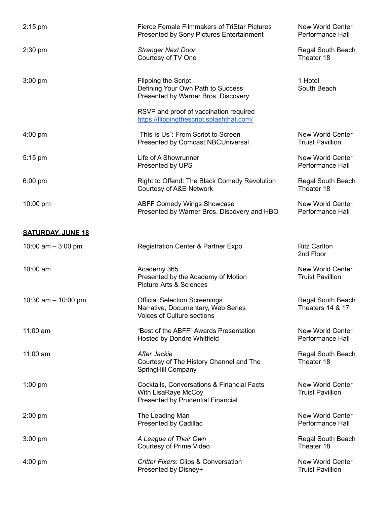| $2:15$ pm                | <b>Fierce Female Filmmakers of TriStar Pictures</b><br>Presented by Sony Pictures Entertainment                 | New World Center<br>Performance Hall               |
|--------------------------|-----------------------------------------------------------------------------------------------------------------|----------------------------------------------------|
| $2:30$ pm                | <b>Stranger Next Door</b><br>Courtesy of TV One                                                                 | Regal South Beach<br>Theater 18                    |
| $3:00$ pm                | Flipping the Script:<br>Defining Your Own Path to Success<br>Presented by Warner Bros. Discovery                | 1 Hotel<br>South Beach                             |
|                          | RSVP and proof of vaccination required<br>https://flippingthescript.splashthat.com/                             |                                                    |
| $4:00 \text{ pm}$        | "This Is Us": From Script to Screen<br>Presented by Comcast NBCUniversal                                        | New World Center<br><b>Truist Pavillion</b>        |
| 5:15 pm                  | Life of A Showrunner<br>Presented by UPS                                                                        | New World Center<br>Performance Hall               |
| $6:00$ pm                | Right to Offend: The Black Comedy Revolution<br>Courtesy of A&E Network                                         | Regal South Beach<br>Theater 18                    |
| 10:00 pm                 | <b>ABFF Comedy Wings Showcase</b><br>Presented by Warner Bros. Discovery and HBO                                | New World Center<br>Performance Hall               |
| <b>SATURDAY, JUNE 18</b> |                                                                                                                 |                                                    |
| 10:00 am $-$ 3:00 pm     | <b>Registration Center &amp; Partner Expo</b>                                                                   | <b>Ritz Carlton</b><br>2nd Floor                   |
| 10:00 am                 | Academy 365<br>Presented by the Academy of Motion<br><b>Picture Arts &amp; Sciences</b>                         | New World Center<br><b>Truist Pavillion</b>        |
| 10:30 am $-$ 10:00 pm    | <b>Official Selection Screenings</b><br>Narrative, Documentary, Web Series<br><b>Voices of Culture sections</b> | Regal South Beach<br>Theaters 14 & 17              |
| $11:00$ am               | "Best of the ABFF" Awards Presentation<br>Hosted by Dondre Whitfield                                            | <b>New World Center</b><br>Performance Hall        |
| 11:00 am                 | After Jackie<br>Courtesy of The History Channel and The<br>SpringHill Company                                   | Regal South Beach<br>Theater 18                    |
| $1:00$ pm                | Cocktails, Conversations & Financial Facts<br>With LisaRaye McCoy<br>Presented by Prudential Financial          | <b>New World Center</b><br><b>Truist Pavillion</b> |
| $2:00$ pm                | The Leading Man<br><b>Presented by Cadillac</b>                                                                 | <b>New World Center</b><br>Performance Hall        |
| $3:00$ pm                | A League of Their Own<br>Courtesy of Prime Video                                                                | Regal South Beach<br>Theater 18                    |
| $4:00$ pm                | <b>Critter Fixers: Clips &amp; Conversation</b><br>Presented by Disney+                                         | New World Center<br><b>Truist Pavillion</b>        |